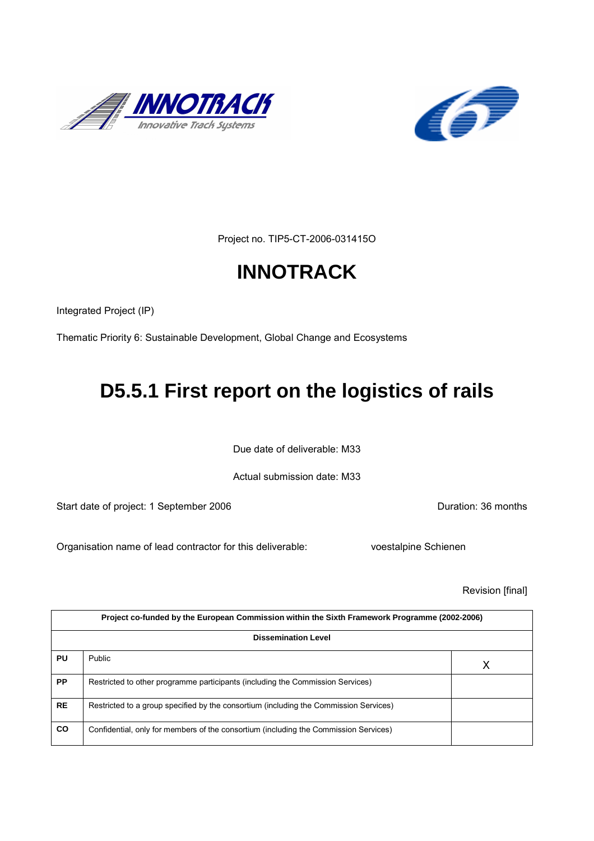



Project no. TIP5-CT-2006-031415O

# **INNOTRACK**

Integrated Project (IP)

Thematic Priority 6: Sustainable Development, Global Change and Ecosystems

# **D5.5.1 First report on the logistics of rails**

Due date of deliverable: M33

Actual submission date: M33

Start date of project: 1 September 2006 **Duration: 36 months** 

Organisation name of lead contractor for this deliverable: voestalpine Schienen

Revision [final]

| Project co-funded by the European Commission within the Sixth Framework Programme (2002-2006)<br><b>Dissemination Level</b> |                                                                                       |  |  |  |  |
|-----------------------------------------------------------------------------------------------------------------------------|---------------------------------------------------------------------------------------|--|--|--|--|
|                                                                                                                             |                                                                                       |  |  |  |  |
| <b>PP</b>                                                                                                                   | Restricted to other programme participants (including the Commission Services)        |  |  |  |  |
| <b>RE</b>                                                                                                                   | Restricted to a group specified by the consortium (including the Commission Services) |  |  |  |  |
| <b>CO</b>                                                                                                                   | Confidential, only for members of the consortium (including the Commission Services)  |  |  |  |  |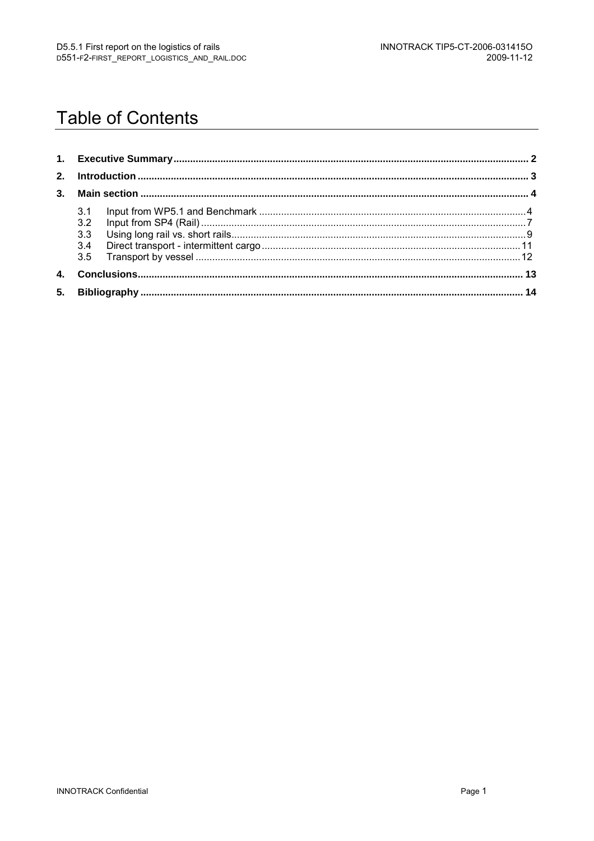# **Table of Contents**

|    | 3.1<br>3.2 |  |  |  |
|----|------------|--|--|--|
|    | 3.3        |  |  |  |
|    | 3.4        |  |  |  |
|    |            |  |  |  |
| 4. |            |  |  |  |
| 5. |            |  |  |  |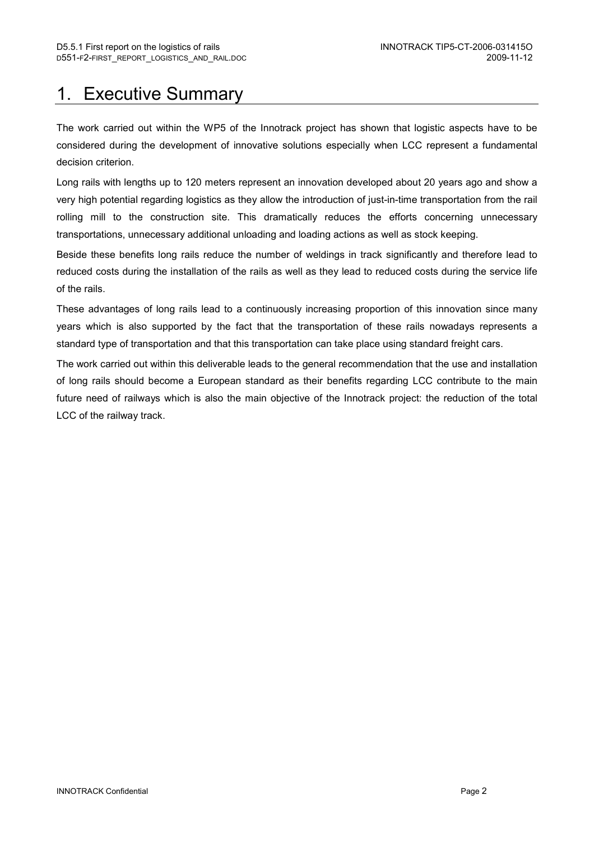# 1. Executive Summary

The work carried out within the WP5 of the Innotrack project has shown that logistic aspects have to be considered during the development of innovative solutions especially when LCC represent a fundamental decision criterion.

Long rails with lengths up to 120 meters represent an innovation developed about 20 years ago and show a very high potential regarding logistics as they allow the introduction of just-in-time transportation from the rail rolling mill to the construction site. This dramatically reduces the efforts concerning unnecessary transportations, unnecessary additional unloading and loading actions as well as stock keeping.

Beside these benefits long rails reduce the number of weldings in track significantly and therefore lead to reduced costs during the installation of the rails as well as they lead to reduced costs during the service life of the rails.

These advantages of long rails lead to a continuously increasing proportion of this innovation since many years which is also supported by the fact that the transportation of these rails nowadays represents a standard type of transportation and that this transportation can take place using standard freight cars.

The work carried out within this deliverable leads to the general recommendation that the use and installation of long rails should become a European standard as their benefits regarding LCC contribute to the main future need of railways which is also the main objective of the Innotrack project: the reduction of the total LCC of the railway track.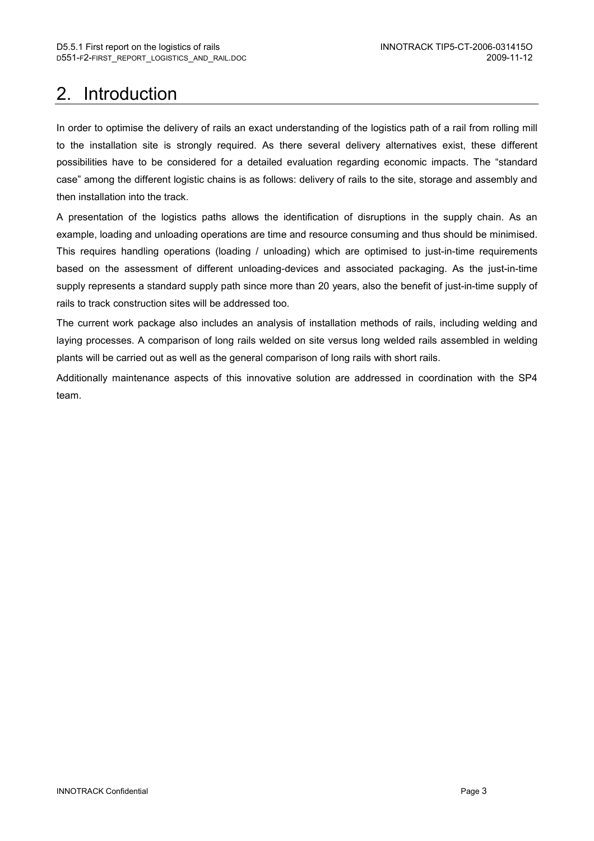# 2. Introduction

In order to optimise the delivery of rails an exact understanding of the logistics path of a rail from rolling mill to the installation site is strongly required. As there several delivery alternatives exist, these different possibilities have to be considered for a detailed evaluation regarding economic impacts. The "standard case" among the different logistic chains is as follows: delivery of rails to the site, storage and assembly and then installation into the track.

A presentation of the logistics paths allows the identification of disruptions in the supply chain. As an example, loading and unloading operations are time and resource consuming and thus should be minimised. This requires handling operations (loading / unloading) which are optimised to just-in-time requirements based on the assessment of different unloading-devices and associated packaging. As the just-in-time supply represents a standard supply path since more than 20 years, also the benefit of just-in-time supply of rails to track construction sites will be addressed too.

The current work package also includes an analysis of installation methods of rails, including welding and laying processes. A comparison of long rails welded on site versus long welded rails assembled in welding plants will be carried out as well as the general comparison of long rails with short rails.

Additionally maintenance aspects of this innovative solution are addressed in coordination with the SP4 team.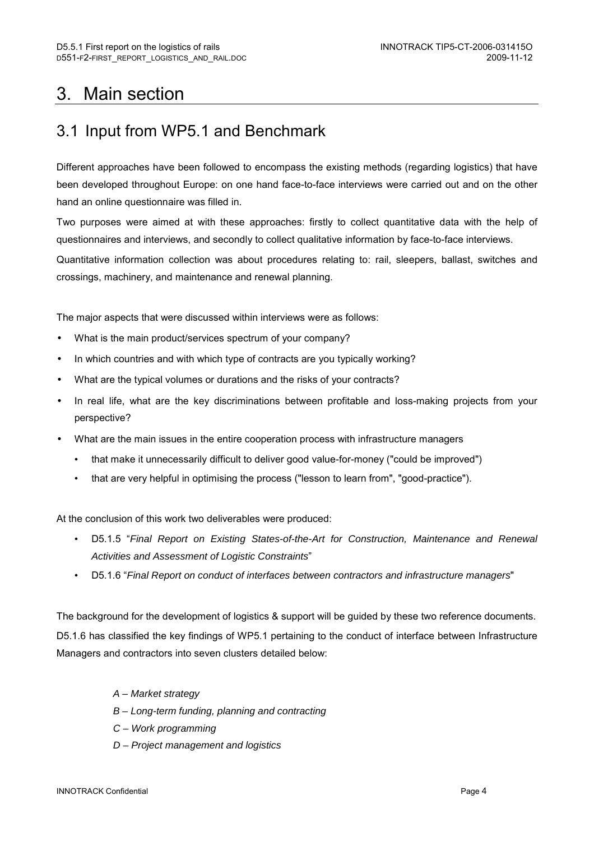# 3. Main section

## 3.1 Input from WP5.1 and Benchmark

Different approaches have been followed to encompass the existing methods (regarding logistics) that have been developed throughout Europe: on one hand face-to-face interviews were carried out and on the other hand an online questionnaire was filled in.

Two purposes were aimed at with these approaches: firstly to collect quantitative data with the help of questionnaires and interviews, and secondly to collect qualitative information by face-to-face interviews.

Quantitative information collection was about procedures relating to: rail, sleepers, ballast, switches and crossings, machinery, and maintenance and renewal planning.

The major aspects that were discussed within interviews were as follows:

- What is the main product/services spectrum of your company?
- In which countries and with which type of contracts are you typically working?
- What are the typical volumes or durations and the risks of your contracts?
- In real life, what are the key discriminations between profitable and loss-making projects from your perspective?
- What are the main issues in the entire cooperation process with infrastructure managers
	- that make it unnecessarily difficult to deliver good value-for-money ("could be improved")
	- that are very helpful in optimising the process ("lesson to learn from", "good-practice").

At the conclusion of this work two deliverables were produced:

- D5.1.5 "Final Report on Existing States-of-the-Art for Construction, Maintenance and Renewal Activities and Assessment of Logistic Constraints"
- D5.1.6 "Final Report on conduct of interfaces between contractors and infrastructure managers"

The background for the development of logistics & support will be guided by these two reference documents. D5.1.6 has classified the key findings of WP5.1 pertaining to the conduct of interface between Infrastructure Managers and contractors into seven clusters detailed below:

- A Market strategy
- B Long-term funding, planning and contracting
- C Work programming
- D Project management and logistics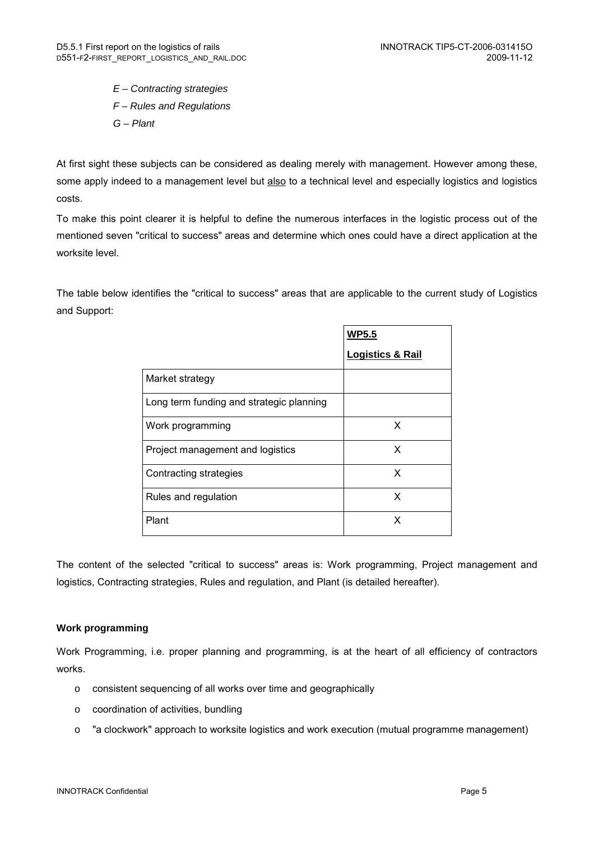E – Contracting strategies F – Rules and Regulations G – Plant

At first sight these subjects can be considered as dealing merely with management. However among these, some apply indeed to a management level but also to a technical level and especially logistics and logistics costs.

To make this point clearer it is helpful to define the numerous interfaces in the logistic process out of the mentioned seven "critical to success" areas and determine which ones could have a direct application at the worksite level.

The table below identifies the "critical to success" areas that are applicable to the current study of Logistics and Support:

|                                          | <b>WP5.5</b>                |
|------------------------------------------|-----------------------------|
|                                          | <b>Logistics &amp; Rail</b> |
| Market strategy                          |                             |
| Long term funding and strategic planning |                             |
| Work programming                         | X                           |
| Project management and logistics         | X                           |
| Contracting strategies                   | X                           |
| Rules and regulation                     | X                           |
| Plant                                    | x                           |

The content of the selected "critical to success" areas is: Work programming, Project management and logistics, Contracting strategies, Rules and regulation, and Plant (is detailed hereafter).

### **Work programming**

Work Programming, i.e. proper planning and programming, is at the heart of all efficiency of contractors works.

- o consistent sequencing of all works over time and geographically
- o coordination of activities, bundling
- o "a clockwork" approach to worksite logistics and work execution (mutual programme management)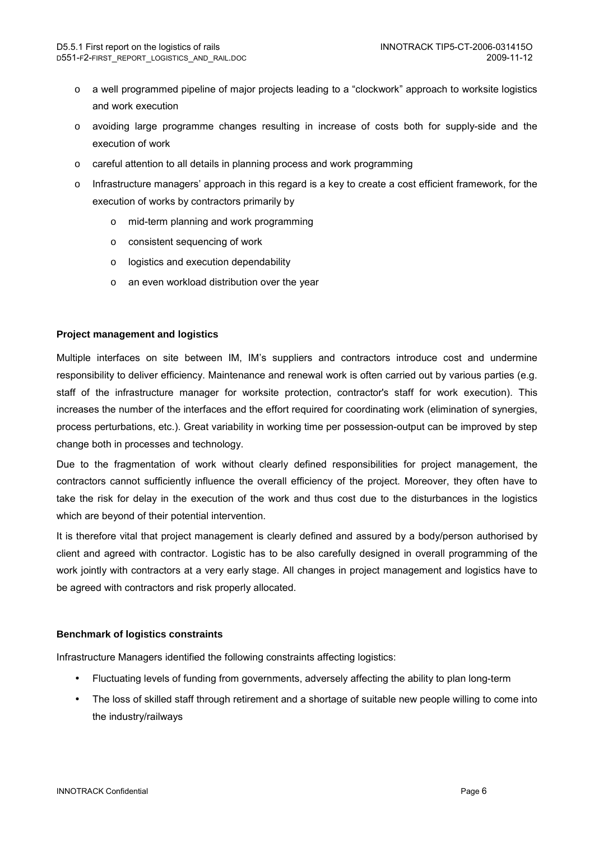- o a well programmed pipeline of major projects leading to a "clockwork" approach to worksite logistics and work execution
- o avoiding large programme changes resulting in increase of costs both for supply-side and the execution of work
- o careful attention to all details in planning process and work programming
- o Infrastructure managers' approach in this regard is a key to create a cost efficient framework, for the execution of works by contractors primarily by
	- o mid-term planning and work programming
	- o consistent sequencing of work
	- o logistics and execution dependability
	- o an even workload distribution over the year

### **Project management and logistics**

Multiple interfaces on site between IM, IM's suppliers and contractors introduce cost and undermine responsibility to deliver efficiency. Maintenance and renewal work is often carried out by various parties (e.g. staff of the infrastructure manager for worksite protection, contractor's staff for work execution). This increases the number of the interfaces and the effort required for coordinating work (elimination of synergies, process perturbations, etc.). Great variability in working time per possession-output can be improved by step change both in processes and technology.

Due to the fragmentation of work without clearly defined responsibilities for project management, the contractors cannot sufficiently influence the overall efficiency of the project. Moreover, they often have to take the risk for delay in the execution of the work and thus cost due to the disturbances in the logistics which are beyond of their potential intervention.

It is therefore vital that project management is clearly defined and assured by a body/person authorised by client and agreed with contractor. Logistic has to be also carefully designed in overall programming of the work jointly with contractors at a very early stage. All changes in project management and logistics have to be agreed with contractors and risk properly allocated.

### **Benchmark of logistics constraints**

Infrastructure Managers identified the following constraints affecting logistics:

- Fluctuating levels of funding from governments, adversely affecting the ability to plan long-term
- The loss of skilled staff through retirement and a shortage of suitable new people willing to come into the industry/railways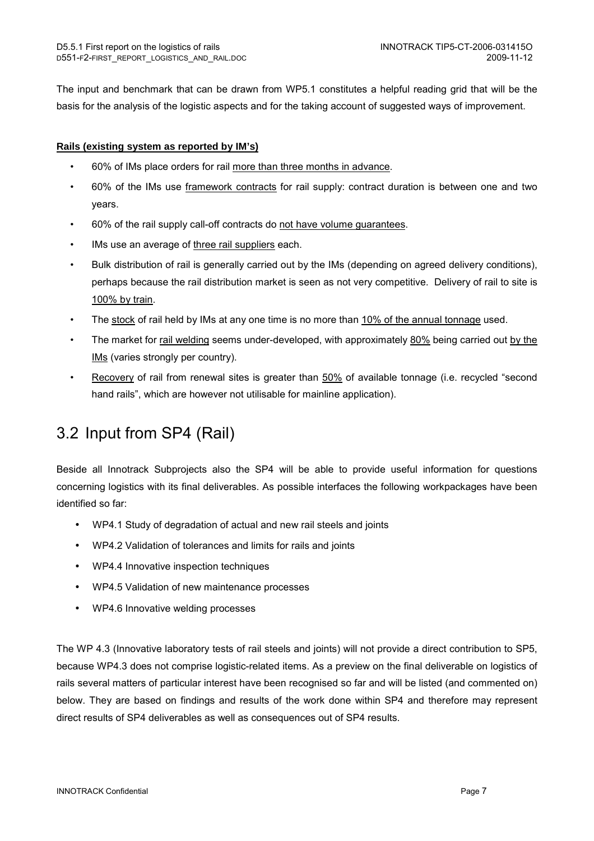The input and benchmark that can be drawn from WP5.1 constitutes a helpful reading grid that will be the basis for the analysis of the logistic aspects and for the taking account of suggested ways of improvement.

### **Rails (existing system as reported by IM's)**

- 60% of IMs place orders for rail more than three months in advance.
- 60% of the IMs use framework contracts for rail supply: contract duration is between one and two years.
- 60% of the rail supply call-off contracts do not have volume guarantees.
- IMs use an average of three rail suppliers each.
- Bulk distribution of rail is generally carried out by the IMs (depending on agreed delivery conditions), perhaps because the rail distribution market is seen as not very competitive. Delivery of rail to site is 100% by train.
- The stock of rail held by IMs at any one time is no more than 10% of the annual tonnage used.
- The market for rail welding seems under-developed, with approximately 80% being carried out by the IMs (varies strongly per country).
- Recovery of rail from renewal sites is greater than 50% of available tonnage (i.e. recycled "second hand rails", which are however not utilisable for mainline application).

# 3.2 Input from SP4 (Rail)

Beside all Innotrack Subprojects also the SP4 will be able to provide useful information for questions concerning logistics with its final deliverables. As possible interfaces the following workpackages have been identified so far:

- WP4.1 Study of degradation of actual and new rail steels and joints
- WP4.2 Validation of tolerances and limits for rails and joints
- WP4.4 Innovative inspection techniques
- WP4.5 Validation of new maintenance processes
- WP4.6 Innovative welding processes

The WP 4.3 (Innovative laboratory tests of rail steels and joints) will not provide a direct contribution to SP5, because WP4.3 does not comprise logistic-related items. As a preview on the final deliverable on logistics of rails several matters of particular interest have been recognised so far and will be listed (and commented on) below. They are based on findings and results of the work done within SP4 and therefore may represent direct results of SP4 deliverables as well as consequences out of SP4 results.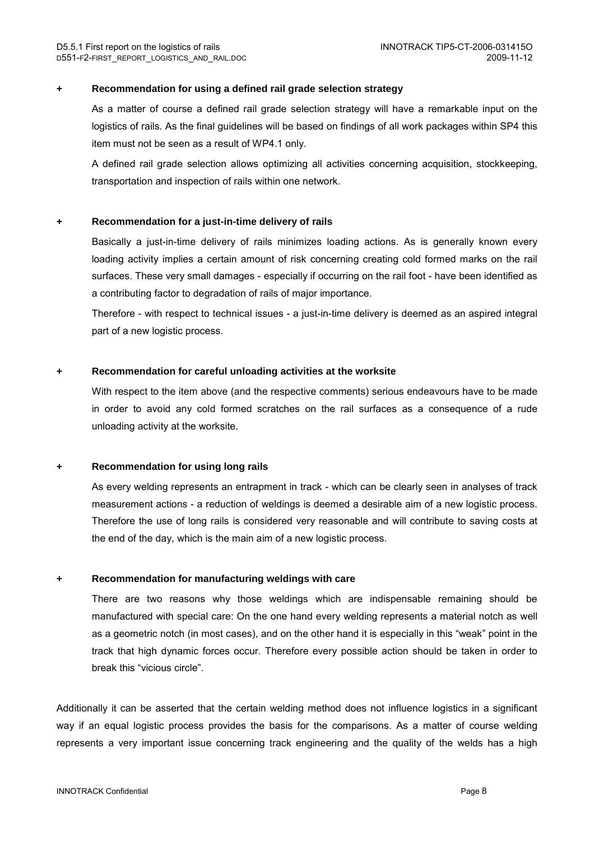#### **+ Recommendation for using a defined rail grade selection strategy**

As a matter of course a defined rail grade selection strategy will have a remarkable input on the logistics of rails. As the final guidelines will be based on findings of all work packages within SP4 this item must not be seen as a result of WP4.1 only.

A defined rail grade selection allows optimizing all activities concerning acquisition, stockkeeping, transportation and inspection of rails within one network.

#### **+ Recommendation for a just-in-time delivery of rails**

Basically a just-in-time delivery of rails minimizes loading actions. As is generally known every loading activity implies a certain amount of risk concerning creating cold formed marks on the rail surfaces. These very small damages - especially if occurring on the rail foot - have been identified as a contributing factor to degradation of rails of major importance.

Therefore - with respect to technical issues - a just-in-time delivery is deemed as an aspired integral part of a new logistic process.

#### **+ Recommendation for careful unloading activities at the worksite**

With respect to the item above (and the respective comments) serious endeavours have to be made in order to avoid any cold formed scratches on the rail surfaces as a consequence of a rude unloading activity at the worksite.

#### **+ Recommendation for using long rails**

As every welding represents an entrapment in track - which can be clearly seen in analyses of track measurement actions - a reduction of weldings is deemed a desirable aim of a new logistic process. Therefore the use of long rails is considered very reasonable and will contribute to saving costs at the end of the day, which is the main aim of a new logistic process.

#### **+ Recommendation for manufacturing weldings with care**

There are two reasons why those weldings which are indispensable remaining should be manufactured with special care: On the one hand every welding represents a material notch as well as a geometric notch (in most cases), and on the other hand it is especially in this "weak" point in the track that high dynamic forces occur. Therefore every possible action should be taken in order to break this "vicious circle".

Additionally it can be asserted that the certain welding method does not influence logistics in a significant way if an equal logistic process provides the basis for the comparisons. As a matter of course welding represents a very important issue concerning track engineering and the quality of the welds has a high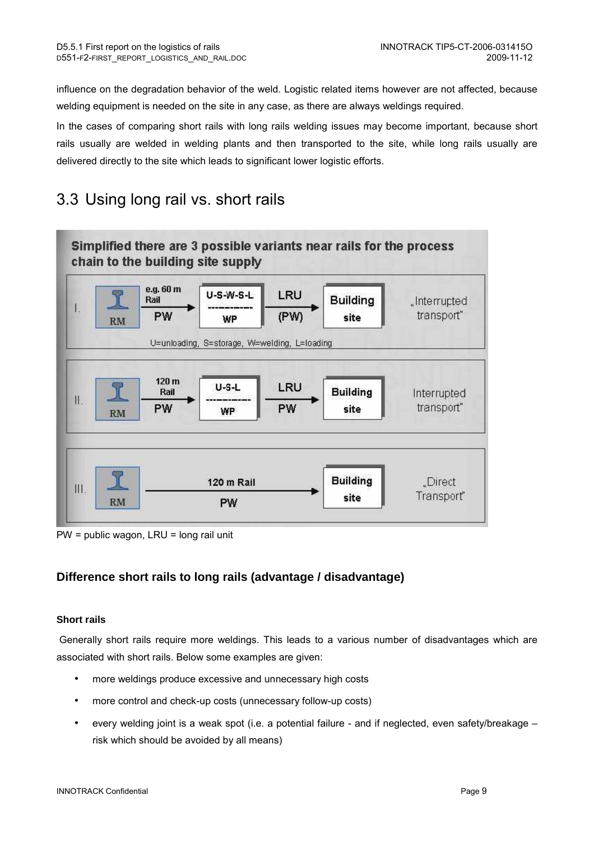influence on the degradation behavior of the weld. Logistic related items however are not affected, because welding equipment is needed on the site in any case, as there are always weldings required.

In the cases of comparing short rails with long rails welding issues may become important, because short rails usually are welded in welding plants and then transported to the site, while long rails usually are delivered directly to the site which leads to significant lower logistic efforts.

# 3.3 Using long rail vs. short rails



PW = public wagon, LRU = long rail unit

## **Difference short rails to long rails (advantage / disadvantage)**

### **Short rails**

Generally short rails require more weldings. This leads to a various number of disadvantages which are associated with short rails. Below some examples are given:

- more weldings produce excessive and unnecessary high costs
- more control and check-up costs (unnecessary follow-up costs)
- every welding joint is a weak spot (i.e. a potential failure and if neglected, even safety/breakage risk which should be avoided by all means)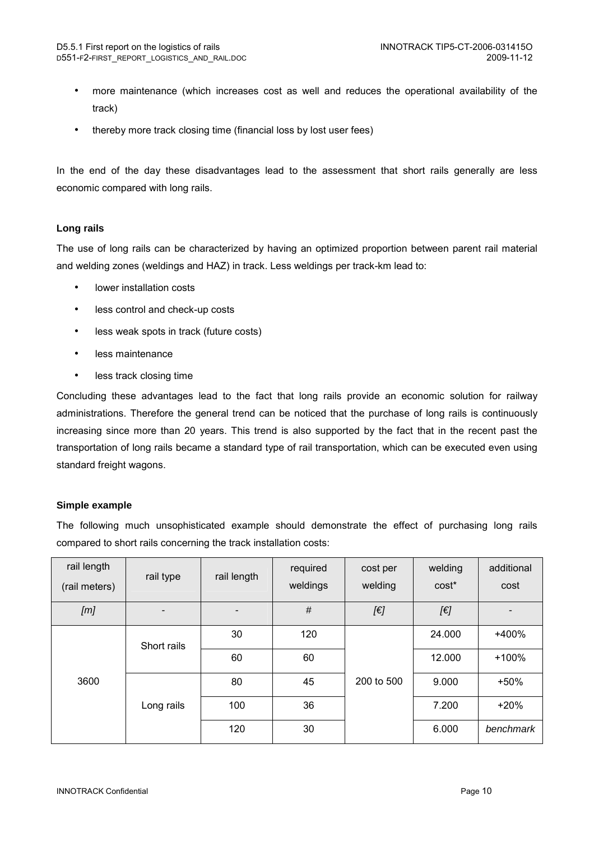- more maintenance (which increases cost as well and reduces the operational availability of the track)
- thereby more track closing time (financial loss by lost user fees)

In the end of the day these disadvantages lead to the assessment that short rails generally are less economic compared with long rails.

### **Long rails**

The use of long rails can be characterized by having an optimized proportion between parent rail material and welding zones (weldings and HAZ) in track. Less weldings per track-km lead to:

- lower installation costs
- less control and check-up costs
- less weak spots in track (future costs)
- less maintenance
- less track closing time

Concluding these advantages lead to the fact that long rails provide an economic solution for railway administrations. Therefore the general trend can be noticed that the purchase of long rails is continuously increasing since more than 20 years. This trend is also supported by the fact that in the recent past the transportation of long rails became a standard type of rail transportation, which can be executed even using standard freight wagons.

### **Simple example**

The following much unsophisticated example should demonstrate the effect of purchasing long rails compared to short rails concerning the track installation costs:

| rail length<br>(rail meters) | rail type                 | rail length              | required<br>weldings | cost per<br>welding | welding<br>cost* | additional<br>cost |
|------------------------------|---------------------------|--------------------------|----------------------|---------------------|------------------|--------------------|
| [m]                          |                           | $\overline{\phantom{a}}$ | $\#$                 | [€]                 | [6]              |                    |
|                              | Short rails<br>Long rails | 30                       | 120                  |                     | 24.000           | +400%              |
|                              |                           | 60                       | 60                   |                     | 12.000           | $+100%$            |
| 3600                         |                           | 80                       | 45                   | 200 to 500          | 9.000            | $+50%$             |
|                              |                           | 100                      | 36                   |                     | 7.200            | $+20%$             |
|                              |                           | 120                      | 30                   |                     | 6.000            | benchmark          |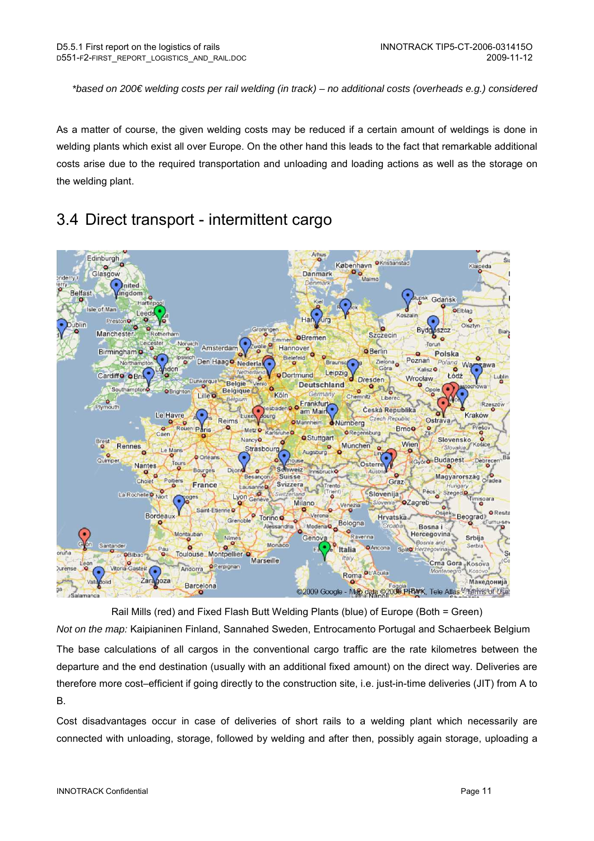\*based on 200€ welding costs per rail welding (in track) – no additional costs (overheads e.g.) considered

As a matter of course, the given welding costs may be reduced if a certain amount of weldings is done in welding plants which exist all over Europe. On the other hand this leads to the fact that remarkable additional costs arise due to the required transportation and unloading and loading actions as well as the storage on the welding plant.

## 3.4 Direct transport - intermittent cargo



Rail Mills (red) and Fixed Flash Butt Welding Plants (blue) of Europe (Both = Green) Not on the map: Kaipianinen Finland, Sannahed Sweden, Entrocamento Portugal and Schaerbeek Belgium

The base calculations of all cargos in the conventional cargo traffic are the rate kilometres between the departure and the end destination (usually with an additional fixed amount) on the direct way. Deliveries are therefore more cost–efficient if going directly to the construction site, i.e. just-in-time deliveries (JIT) from A to B.

Cost disadvantages occur in case of deliveries of short rails to a welding plant which necessarily are connected with unloading, storage, followed by welding and after then, possibly again storage, uploading a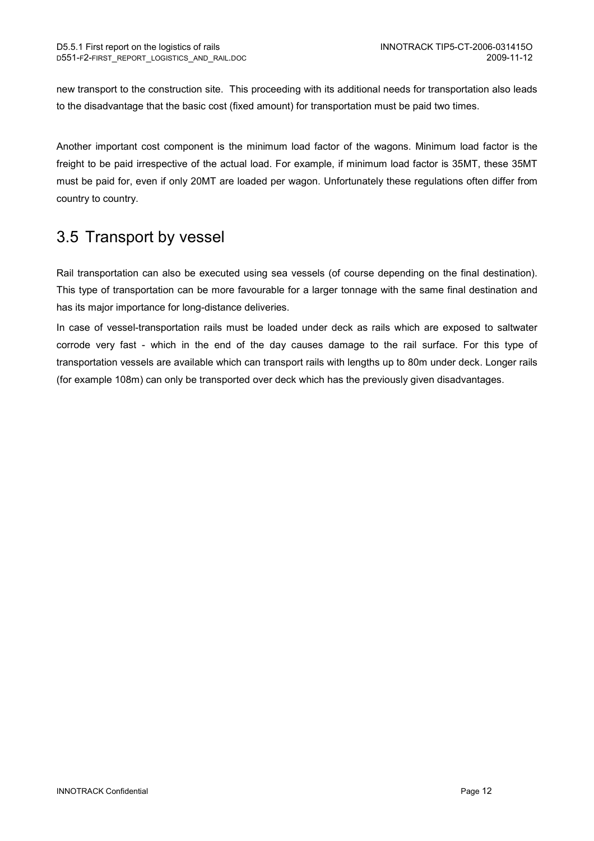new transport to the construction site. This proceeding with its additional needs for transportation also leads to the disadvantage that the basic cost (fixed amount) for transportation must be paid two times.

Another important cost component is the minimum load factor of the wagons. Minimum load factor is the freight to be paid irrespective of the actual load. For example, if minimum load factor is 35MT, these 35MT must be paid for, even if only 20MT are loaded per wagon. Unfortunately these regulations often differ from country to country.

# 3.5 Transport by vessel

Rail transportation can also be executed using sea vessels (of course depending on the final destination). This type of transportation can be more favourable for a larger tonnage with the same final destination and has its major importance for long-distance deliveries.

In case of vessel-transportation rails must be loaded under deck as rails which are exposed to saltwater corrode very fast - which in the end of the day causes damage to the rail surface. For this type of transportation vessels are available which can transport rails with lengths up to 80m under deck. Longer rails (for example 108m) can only be transported over deck which has the previously given disadvantages.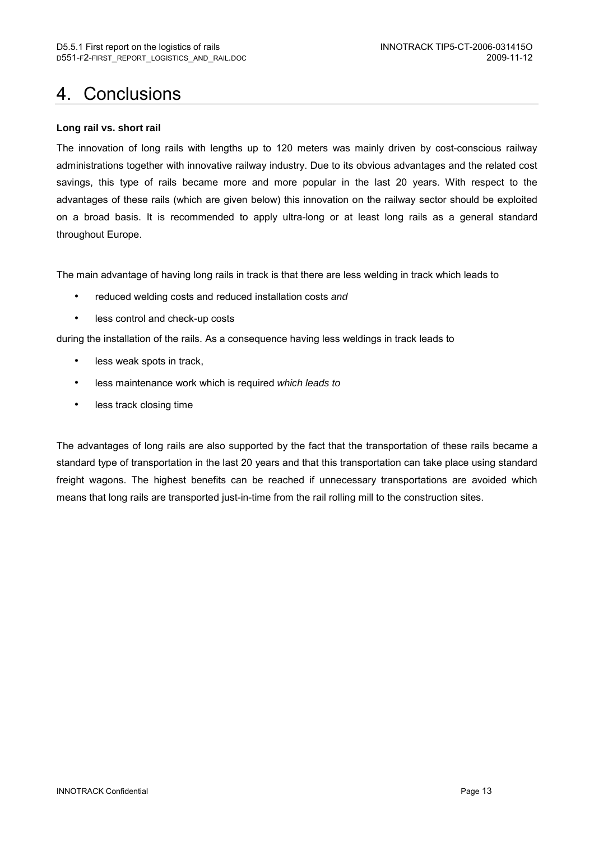# 4. Conclusions

### **Long rail vs. short rail**

The innovation of long rails with lengths up to 120 meters was mainly driven by cost-conscious railway administrations together with innovative railway industry. Due to its obvious advantages and the related cost savings, this type of rails became more and more popular in the last 20 years. With respect to the advantages of these rails (which are given below) this innovation on the railway sector should be exploited on a broad basis. It is recommended to apply ultra-long or at least long rails as a general standard throughout Europe.

The main advantage of having long rails in track is that there are less welding in track which leads to

- reduced welding costs and reduced installation costs and
- less control and check-up costs

during the installation of the rails. As a consequence having less weldings in track leads to

- less weak spots in track,
- less maintenance work which is required which leads to
- less track closing time

The advantages of long rails are also supported by the fact that the transportation of these rails became a standard type of transportation in the last 20 years and that this transportation can take place using standard freight wagons. The highest benefits can be reached if unnecessary transportations are avoided which means that long rails are transported just-in-time from the rail rolling mill to the construction sites.